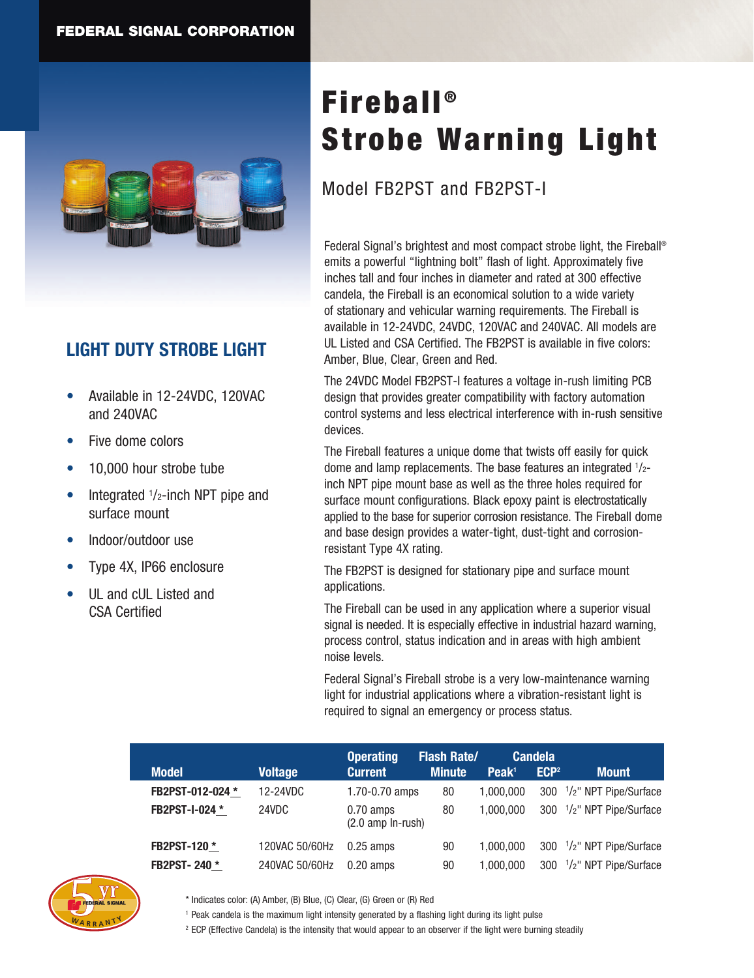

## **LIGHT DUTY STROBE LIGHT**

- • Available in 12-24VDC, 120VAC and 240VAC
- Five dome colors
- 10,000 hour strobe tube
- Integrated  $1/2$ -inch NPT pipe and surface mount
- Indoor/outdoor use
- Type 4X, IP66 enclosure
- UL and cUL Listed and CSA Certified

# **Fireball®** Strobe Warning Light

## Model FB2PST and FB2PST-I

Federal Signal's brightest and most compact strobe light, the Fireball® emits a powerful "lightning bolt" flash of light. Approximately five inches tall and four inches in diameter and rated at 300 effective candela, the Fireball is an economical solution to a wide variety of stationary and vehicular warning requirements. The Fireball is available in 12-24VDC, 24VDC, 120VAC and 240VAC. All models are UL Listed and CSA Certified. The FB2PST is available in five colors: Amber, Blue, Clear, Green and Red.

The 24VDC Model FB2PST-I features a voltage in-rush limiting PCB design that provides greater compatibility with factory automation control systems and less electrical interference with in-rush sensitive devices.

The Fireball features a unique dome that twists off easily for quick dome and lamp replacements. The base features an integrated <sup>1</sup>/2 inch NPT pipe mount base as well as the three holes required for surface mount configurations. Black epoxy paint is electrostatically applied to the base for superior corrosion resistance. The Fireball dome and base design provides a water-tight, dust-tight and corrosionresistant Type 4X rating.

The FB2PST is designed for stationary pipe and surface mount applications.

The Fireball can be used in any application where a superior visual signal is needed. It is especially effective in industrial hazard warning, process control, status indication and in areas with high ambient noise levels.

Federal Signal's Fireball strobe is a very low-maintenance warning light for industrial applications where a vibration-resistant light is required to signal an emergency or process status.

|                       |                | <b>Operating</b>                           | <b>Flash Rate/</b> |                   | <b>Candela</b>   |                                                    |
|-----------------------|----------------|--------------------------------------------|--------------------|-------------------|------------------|----------------------------------------------------|
| <b>Model</b>          | <b>Voltage</b> | <b>Current</b>                             | <b>Minute</b>      | Peak <sup>1</sup> | ECP <sup>2</sup> | <b>Mount</b>                                       |
| FB2PST-012-024 *      | 12-24VDC       | $1.70 - 0.70$ amps                         | 80                 | 1.000.000         |                  | 300 <sup>1</sup> / <sub>2</sub> " NPT Pipe/Surface |
| <b>FB2PST-I-024 *</b> | 24VDC          | $0.70$ amps<br>$(2.0 \text{ amp In-rush})$ | 80                 | 1.000.000         |                  | 300 $1/2$ " NPT Pipe/Surface                       |
| <b>FB2PST-120 *</b>   | 120VAC 50/60Hz | $0.25$ amps                                | 90                 | 1.000.000         |                  | 300 <sup>1</sup> / <sub>2</sub> " NPT Pipe/Surface |
| <b>FB2PST-240 *</b>   | 240VAC 50/60Hz | $0.20$ amps                                | 90                 | 1.000.000         |                  | 300 <sup>1</sup> / <sub>2</sub> " NPT Pipe/Surface |



- \* Indicates color: (A) Amber, (B) Blue, (C) Clear, (G) Green or (R) Red
- <sup>1</sup> Peak candela is the maximum light intensity generated by a flashing light during its light pulse

<sup>2</sup> ECP (Effective Candela) is the intensity that would appear to an observer if the light were burning steadily